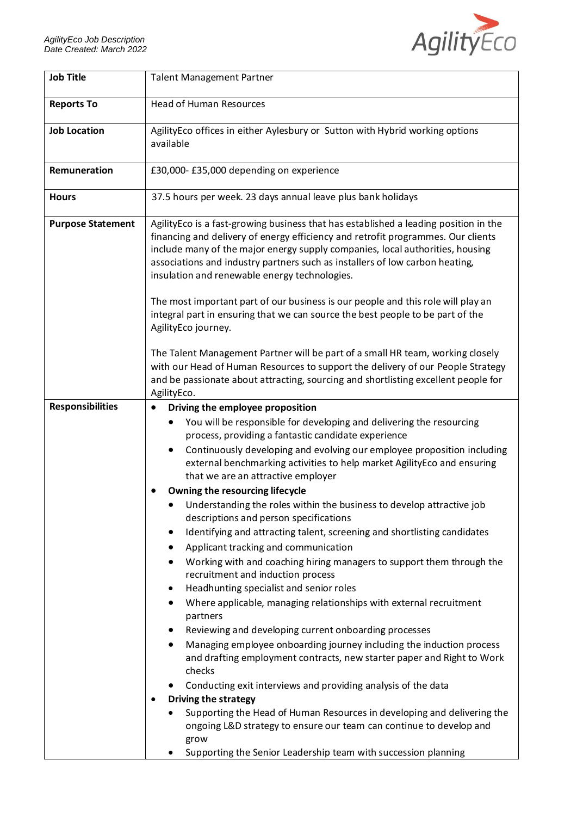

| <b>Job Title</b>         | <b>Talent Management Partner</b>                                                                                                                                                                                                                                                                                                                                                                                                                                                                                                                                                                                                                                                                                                                                                                                                                                                                                                                                                                                                                                                                                                                                                                                                                                                                                                                                                                                                                                              |
|--------------------------|-------------------------------------------------------------------------------------------------------------------------------------------------------------------------------------------------------------------------------------------------------------------------------------------------------------------------------------------------------------------------------------------------------------------------------------------------------------------------------------------------------------------------------------------------------------------------------------------------------------------------------------------------------------------------------------------------------------------------------------------------------------------------------------------------------------------------------------------------------------------------------------------------------------------------------------------------------------------------------------------------------------------------------------------------------------------------------------------------------------------------------------------------------------------------------------------------------------------------------------------------------------------------------------------------------------------------------------------------------------------------------------------------------------------------------------------------------------------------------|
| <b>Reports To</b>        | <b>Head of Human Resources</b>                                                                                                                                                                                                                                                                                                                                                                                                                                                                                                                                                                                                                                                                                                                                                                                                                                                                                                                                                                                                                                                                                                                                                                                                                                                                                                                                                                                                                                                |
| <b>Job Location</b>      | AgilityEco offices in either Aylesbury or Sutton with Hybrid working options<br>available                                                                                                                                                                                                                                                                                                                                                                                                                                                                                                                                                                                                                                                                                                                                                                                                                                                                                                                                                                                                                                                                                                                                                                                                                                                                                                                                                                                     |
| Remuneration             | £30,000-£35,000 depending on experience                                                                                                                                                                                                                                                                                                                                                                                                                                                                                                                                                                                                                                                                                                                                                                                                                                                                                                                                                                                                                                                                                                                                                                                                                                                                                                                                                                                                                                       |
| <b>Hours</b>             | 37.5 hours per week. 23 days annual leave plus bank holidays                                                                                                                                                                                                                                                                                                                                                                                                                                                                                                                                                                                                                                                                                                                                                                                                                                                                                                                                                                                                                                                                                                                                                                                                                                                                                                                                                                                                                  |
| <b>Purpose Statement</b> | AgilityEco is a fast-growing business that has established a leading position in the<br>financing and delivery of energy efficiency and retrofit programmes. Our clients<br>include many of the major energy supply companies, local authorities, housing<br>associations and industry partners such as installers of low carbon heating,<br>insulation and renewable energy technologies.<br>The most important part of our business is our people and this role will play an                                                                                                                                                                                                                                                                                                                                                                                                                                                                                                                                                                                                                                                                                                                                                                                                                                                                                                                                                                                                |
|                          | integral part in ensuring that we can source the best people to be part of the<br>AgilityEco journey.                                                                                                                                                                                                                                                                                                                                                                                                                                                                                                                                                                                                                                                                                                                                                                                                                                                                                                                                                                                                                                                                                                                                                                                                                                                                                                                                                                         |
|                          | The Talent Management Partner will be part of a small HR team, working closely<br>with our Head of Human Resources to support the delivery of our People Strategy<br>and be passionate about attracting, sourcing and shortlisting excellent people for<br>AgilityEco.                                                                                                                                                                                                                                                                                                                                                                                                                                                                                                                                                                                                                                                                                                                                                                                                                                                                                                                                                                                                                                                                                                                                                                                                        |
| <b>Responsibilities</b>  | Driving the employee proposition<br>You will be responsible for developing and delivering the resourcing<br>process, providing a fantastic candidate experience<br>Continuously developing and evolving our employee proposition including<br>$\bullet$<br>external benchmarking activities to help market AgilityEco and ensuring<br>that we are an attractive employer<br>Owning the resourcing lifecycle<br>Understanding the roles within the business to develop attractive job<br>descriptions and person specifications<br>Identifying and attracting talent, screening and shortlisting candidates<br>Applicant tracking and communication<br>Working with and coaching hiring managers to support them through the<br>recruitment and induction process<br>Headhunting specialist and senior roles<br>$\bullet$<br>Where applicable, managing relationships with external recruitment<br>partners<br>Reviewing and developing current onboarding processes<br>$\bullet$<br>Managing employee onboarding journey including the induction process<br>٠<br>and drafting employment contracts, new starter paper and Right to Work<br>checks<br>Conducting exit interviews and providing analysis of the data<br><b>Driving the strategy</b><br>Supporting the Head of Human Resources in developing and delivering the<br>ongoing L&D strategy to ensure our team can continue to develop and<br>grow<br>Supporting the Senior Leadership team with succession planning |